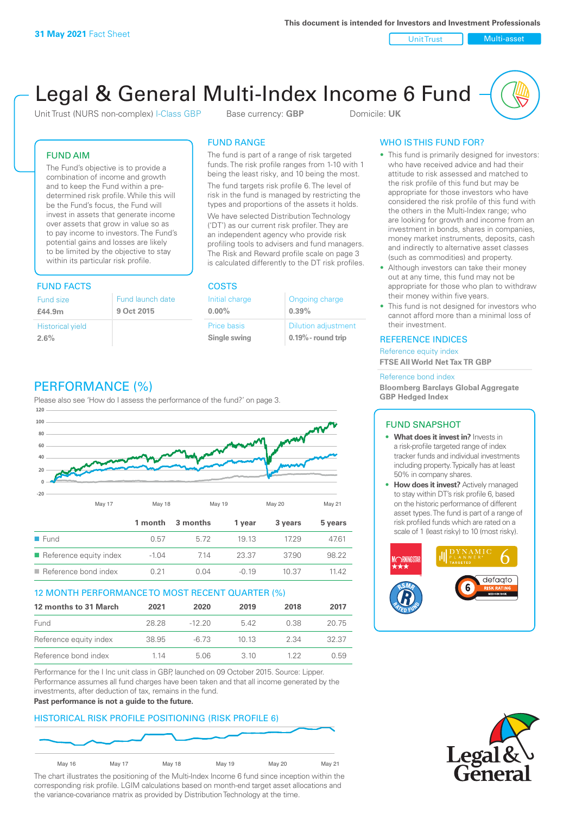Unit Trust Nulti-asset

# Legal & General Multi-Index Income 6 Fund

Unit Trust (NURS non-complex) I-Class GBP Base currency: **GBP** Domicile: UK

### FUND AIM

The Fund's objective is to provide a combination of income and growth and to keep the Fund within a predetermined risk profile. While this will be the Fund's focus, the Fund will invest in assets that generate income over assets that grow in value so as to pay income to investors. The Fund's potential gains and losses are likely to be limited by the objective to stay within its particular risk profile.

### FUND FACTS COSTS

| Fund size<br>£44.9m     | Fund launch date<br>9 Oct 2015 |
|-------------------------|--------------------------------|
| <b>Historical yield</b> |                                |
| 2.6%                    |                                |

### FUND RANGE

The fund is part of a range of risk targeted funds. The risk profile ranges from 1-10 with 1 being the least risky, and 10 being the most.

The fund targets risk profile 6. The level of risk in the fund is managed by restricting the types and proportions of the assets it holds. We have selected Distribution Technology ('DT') as our current risk profiler. They are an independent agency who provide risk profiling tools to advisers and fund managers. The Risk and Reward profile scale on page 3 is calculated differently to the DT risk profiles.

| Initial charge | Ongoing charge             |
|----------------|----------------------------|
| $0.00\%$       | 0.39%                      |
| Price basis    | <b>Dilution adjustment</b> |
| Single swing   | $0.19\%$ - round trip      |

## PERFORMANCE (%)

Please also see 'How do I assess the performance of the fund?' on page 3.



### 12 MONTH PERFORMANCE TO MOST RECENT QUARTER (%)

| 12 months to 31 March  | 2021  | 2020     | 2019 | 2018 | 2017  |
|------------------------|-------|----------|------|------|-------|
| Fund                   | 28.28 | $-12.20$ | 542  | 0.38 | 20.75 |
| Reference equity index | 38.95 | -6.73    | 1013 | 2.34 | 32.37 |
| Reference bond index   | 1 14  | 5.06     | 3 10 | 1 22 | O 59  |

Performance for the I Inc unit class in GBP, launched on 09 October 2015. Source: Lipper. Performance assumes all fund charges have been taken and that all income generated by the investments, after deduction of tax, remains in the fund.

#### **Past performance is not a guide to the future.**

### HISTORICAL RISK PROFILE POSITIONING (RISK PROFILE 6)



The chart illustrates the positioning of the Multi-Index Income 6 fund since inception within the corresponding risk profile. LGIM calculations based on month-end target asset allocations and the variance-covariance matrix as provided by Distribution Technology at the time.

### WHO IS THIS FUND FOR?

- This fund is primarily designed for investors: who have received advice and had their attitude to risk assessed and matched to the risk profile of this fund but may be appropriate for those investors who have considered the risk profile of this fund with the others in the Multi-Index range; who are looking for growth and income from an investment in bonds, shares in companies, money market instruments, deposits, cash and indirectly to alternative asset classes (such as commodities) and property.
- Although investors can take their money out at any time, this fund may not be appropriate for those who plan to withdraw their money within five years.
- This fund is not designed for investors who cannot afford more than a minimal loss of their investment.

### REFERENCE INDICES

Reference equity index **FTSE All World Net Tax TR GBP**

#### Reference bond index

**Bloomberg Barclays Global Aggregate GBP Hedged Index**

### FUND SNAPSHOT

- **• What does it invest in?** Invests in a risk-profile targeted range of index tracker funds and individual investments including property. Typically has at least 50% in company shares.
- **• How does it invest?** Actively managed to stay within DT's risk profile 6, based on the historic performance of different asset types. The fund is part of a range of risk profiled funds which are rated on a scale of 1 (least risky) to 10 (most risky).



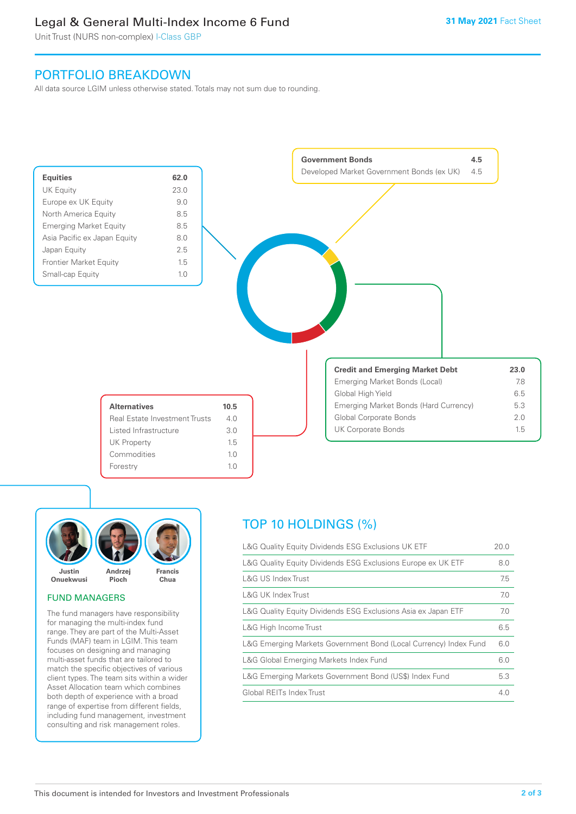### Legal & General Multi-Index Income 6 Fund

Unit Trust (NURS non-complex) I-Class GBP

### PORTFOLIO BREAKDOWN

All data source LGIM unless otherwise stated. Totals may not sum due to rounding.





### FUND MANAGERS

The fund managers have responsibility for managing the multi-index fund range. They are part of the Multi-Asset Funds (MAF) team in LGIM. This team focuses on designing and managing multi-asset funds that are tailored to match the specific objectives of various client types. The team sits within a wider Asset Allocation team which combines both depth of experience with a broad range of expertise from different fields, including fund management, investment consulting and risk management roles.

### TOP 10 HOLDINGS (%)

| L&G Quality Equity Dividends ESG Exclusions UK ETF               | 20.0 |
|------------------------------------------------------------------|------|
| L&G Quality Equity Dividends ESG Exclusions Europe ex UK ETF     | 8.0  |
| L&G US Index Trust                                               | 7.5  |
| <b>L&amp;G UK Index Trust</b>                                    | 7.0  |
| L&G Quality Equity Dividends ESG Exclusions Asia ex Japan ETF    | 7.0  |
| L&G High Income Trust                                            | 6.5  |
| L&G Emerging Markets Government Bond (Local Currency) Index Fund | 6.0  |
| L&G Global Emerging Markets Index Fund                           | 6.0  |
| L&G Emerging Markets Government Bond (US\$) Index Fund           | 5.3  |
| Global REITs Index Trust                                         | 4.0  |